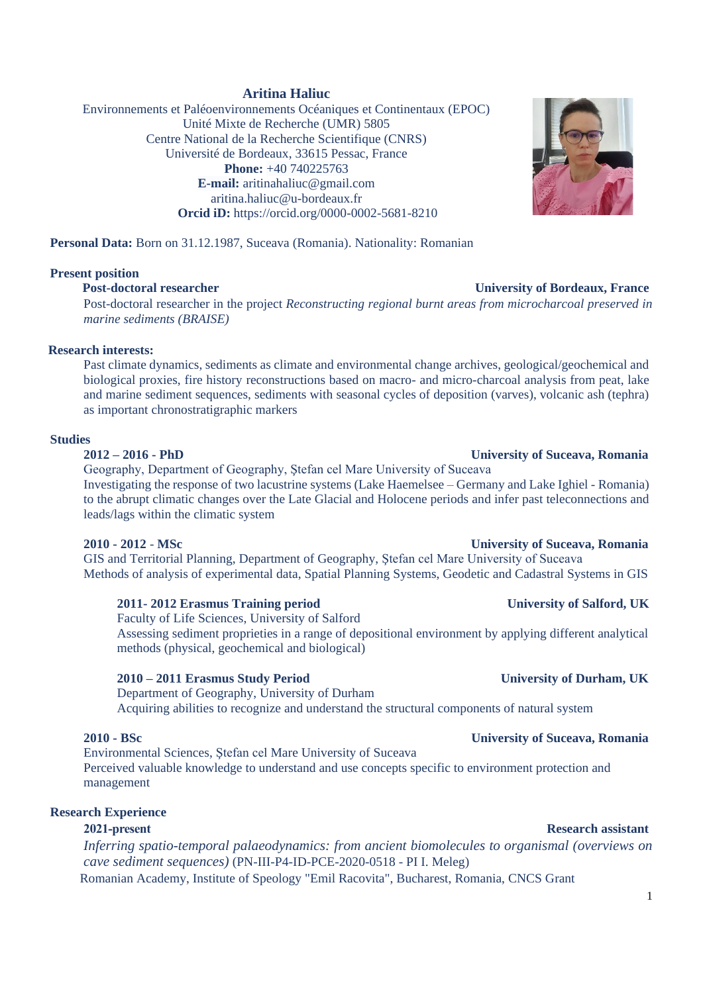## **Aritina Haliuc**

Environnements et Paléoenvironnements Océaniques et Continentaux (EPOC) Unité Mixte de Recherche (UMR) 5805 Centre National de la Recherche Scientifique (CNRS) Université de Bordeaux, 33615 Pessac, France **Phone:** +40 740225763 **E-mail:** [aritinahaliuc@gmail.com](mailto:aritinahaliuc@gmail.com) aritina.haliuc@u-bordeaux.fr **Orcid iD:** https://orcid.org/0000-0002-5681-8210



**Personal Data:** Born on 31.12.1987, Suceava (Romania). Nationality: Romanian

### **Present position**

### **Post-doctoral researcher University of Bordeaux, France**

Post-doctoral researcher in the project *Reconstructing regional burnt areas from microcharcoal preserved in marine sediments (BRAISE)*

### **Research interests:**

Past climate dynamics, sediments as climate and environmental change archives, geological/geochemical and biological proxies, fire history reconstructions based on macro- and micro-charcoal analysis from peat, lake and marine sediment sequences, sediments with seasonal cycles of deposition (varves), volcanic ash (tephra) as important chronostratigraphic markers

### **Studies**

# **2012 – 2016 - PhD University of Suceava, Romania**

Geography, Department of Geography, Ştefan cel Mare University of Suceava Investigating the response of two lacustrine systems (Lake Haemelsee – Germany and Lake Ighiel - Romania) to the abrupt climatic changes over the Late Glacial and Holocene periods and infer past teleconnections and leads/lags within the climatic system

### **2010 - 2012** - **MSc University of Suceava, Romania**

GIS and Territorial Planning, Department of Geography, Ştefan cel Mare University of Suceava Methods of analysis of experimental data, Spatial Planning Systems, Geodetic and Cadastral Systems in GIS

## **2011- 2012 Erasmus Training period University of Salford, UK**

Faculty of Life Sciences, University of Salford Assessing sediment proprieties in a range of depositional environment by applying different analytical methods (physical, geochemical and biological)

## **2010 – 2011 Erasmus Study Period University of Durham, UK**

Department of Geography, University of Durham Acquiring abilities to recognize and understand the structural components of natural system

## **2010 - BSc University of Suceava, Romania**

Environmental Sciences, Ştefan cel Mare University of Suceava Perceived valuable knowledge to understand and use concepts specific to environment protection and management

## **Research Experience**

# **2021-present Research assistant** *Inferring spatio-temporal palaeodynamics: from ancient biomolecules to organismal (overviews on cave sediment sequences)* (PN-III-P4-ID-PCE-2020-0518 - PI I. Meleg) Romanian Academy, Institute of Speology "Emil Racovita", Bucharest, Romania, CNCS Grant

### 1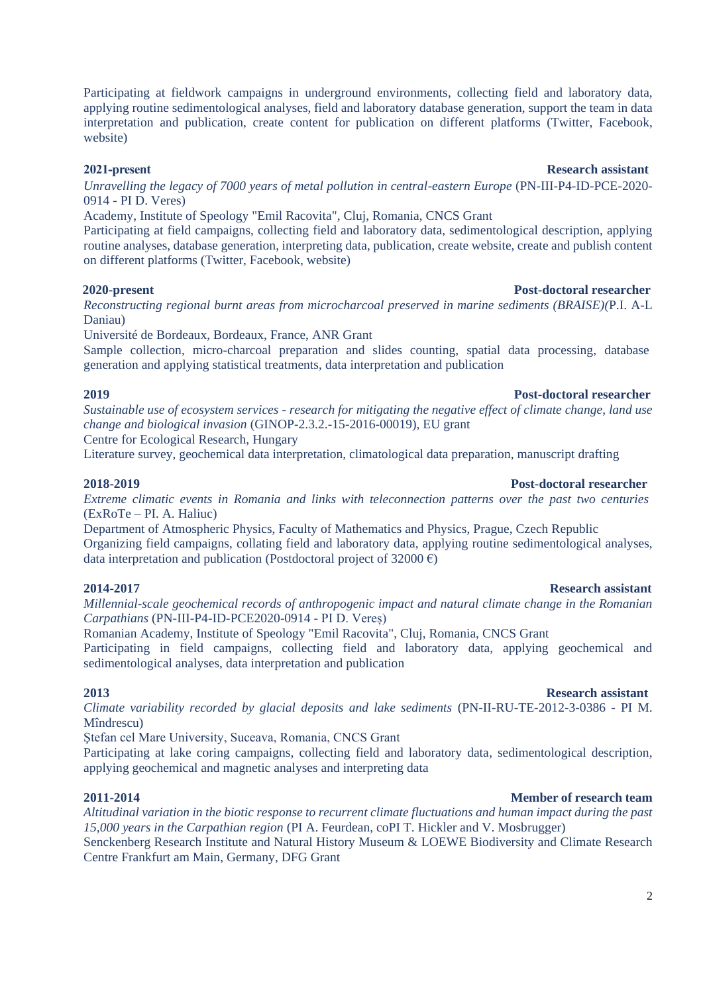Participating at fieldwork campaigns in underground environments, collecting field and laboratory data, applying routine sedimentological analyses, field and laboratory database generation, support the team in data interpretation and publication, create content for publication on different platforms (Twitter, Facebook, website)

## **2021-present Research assistant**

*Unravelling the legacy of 7000 years of metal pollution in central-eastern Europe* (PN-III-P4-ID-PCE-2020- 0914 - PI D. Veres)

Academy, Institute of Speology "Emil Racovita", Cluj, Romania, CNCS Grant

Participating at field campaigns, collecting field and laboratory data, sedimentological description, applying routine analyses, database generation, interpreting data, publication, create website, create and publish content on different platforms (Twitter, Facebook, website)

## **2020-present Post-doctoral researcher**

*Reconstructing regional burnt areas from microcharcoal preserved in marine sediments (BRAISE)(*P.I. A-L Daniau)

Université de Bordeaux, Bordeaux, France, ANR Grant

Sample collection, micro-charcoal preparation and slides counting, spatial data processing, database generation and applying statistical treatments, data interpretation and publication

### **2019 Post-doctoral researcher**

*Sustainable use of ecosystem services - research for mitigating the negative effect of climate change, land use change and biological invasion* (GINOP-2.3.2.-15-2016-00019), EU grant

Centre for Ecological Research, Hungary

Literature survey, geochemical data interpretation, climatological data preparation, manuscript drafting

## **2018-2019 Post-doctoral researcher**

*Extreme climatic events in Romania and links with teleconnection patterns over the past two centuries*  (ExRoTe – PI. A. Haliuc)

Department of Atmospheric Physics, Faculty of Mathematics and Physics, Prague, Czech Republic Organizing field campaigns, collating field and laboratory data, applying routine sedimentological analyses, data interpretation and publication (Postdoctoral project of 32000  $\epsilon$ )

## **2014-2017 Research assistant**

*Millennial-scale geochemical records of anthropogenic impact and natural climate change in the Romanian Carpathians* (PN-III-P4-ID-PCE2020-0914 - PI D. Vereș)

Romanian Academy, Institute of Speology "Emil Racovita", Cluj, Romania, CNCS Grant

Participating in field campaigns, collecting field and laboratory data, applying geochemical and sedimentological analyses, data interpretation and publication

## **2013 Research assistant**

*Climate variability recorded by glacial deposits and lake sediments* (PN-II-RU-TE-2012-3-0386 - PI M. Mîndrescu)

Ştefan cel Mare University, Suceava, Romania, CNCS Grant

Participating at lake coring campaigns, collecting field and laboratory data, sedimentological description, applying geochemical and magnetic analyses and interpreting data

## **2011-2014 Member of research team**

*Altitudinal variation in the biotic response to recurrent climate fluctuations and human impact during the past 15,000 years in the Carpathian region* (PI A. Feurdean, coPI T. Hickler and V. Mosbrugger) Senckenberg Research Institute and Natural History Museum & LOEWE Biodiversity and Climate Research Centre Frankfurt am Main, Germany, DFG Grant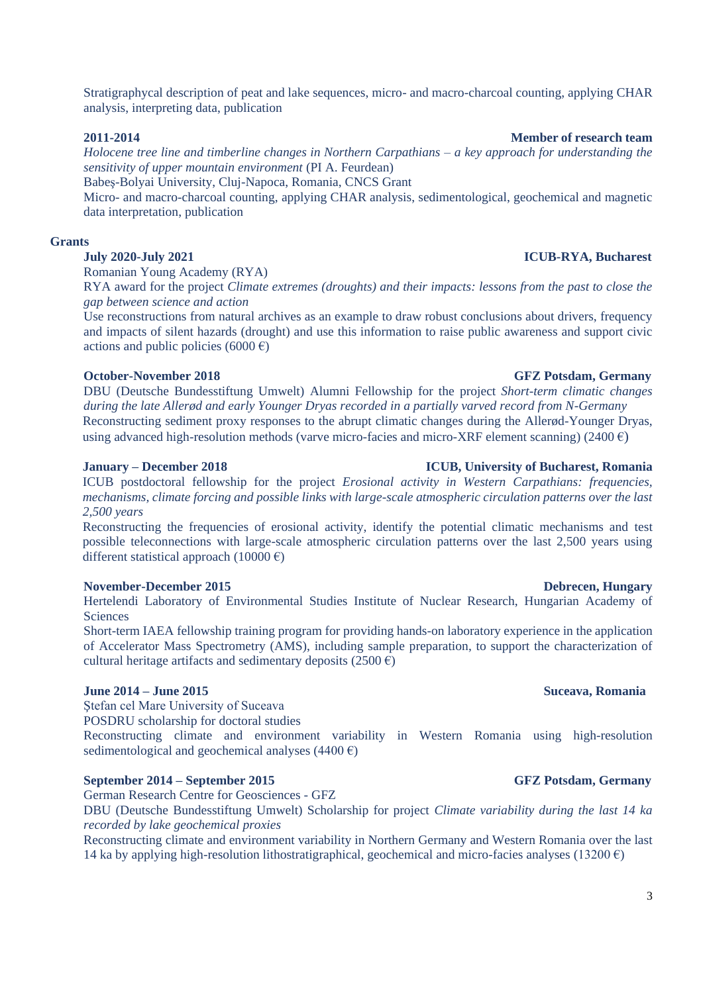Stratigraphycal description of peat and lake sequences, micro- and macro-charcoal counting, applying CHAR analysis, interpreting data, publication

## **2011-2014 Member of research team**

*Holocene tree line and timberline changes in Northern Carpathians – a key approach for understanding the sensitivity of upper mountain environment* (PI A. Feurdean)

Babeş-Bolyai University, Cluj-Napoca, Romania, CNCS Grant

Micro- and macro-charcoal counting, applying CHAR analysis, sedimentological, geochemical and magnetic data interpretation, publication

## **Grants**

# **July 2020-July 2021 ICUB-RYA, Bucharest**

Romanian Young Academy (RYA)

RYA award for the project *Climate extremes (droughts) and their impacts: lessons from the past to close the gap between science and action*

Use reconstructions from natural archives as an example to draw robust conclusions about drivers, frequency and impacts of silent hazards (drought) and use this information to raise public awareness and support civic actions and public policies (6000 €)

# **October-November 2018 GFZ Potsdam, Germany**

DBU (Deutsche Bundesstiftung Umwelt) Alumni Fellowship for the project *Short-term climatic changes during the late Allerød and early Younger Dryas recorded in a partially varved record from N-Germany* Reconstructing sediment proxy responses to the abrupt climatic changes during the Allerød-Younger Dryas, using advanced high-resolution methods (varve micro-facies and micro-XRF element scanning) (2400  $\epsilon$ )

ICUB postdoctoral fellowship for the project *Erosional activity in Western Carpathians: frequencies, mechanisms, climate forcing and possible links with large-scale atmospheric circulation patterns over the last 2,500 years*

Reconstructing the frequencies of erosional activity, identify the potential climatic mechanisms and test possible teleconnections with large-scale atmospheric circulation patterns over the last 2,500 years using different statistical approach (10000  $\epsilon$ )

# **November-December 2015 Debrecen, Hungary**

Hertelendi Laboratory of Environmental Studies Institute of Nuclear Research, Hungarian Academy of **Sciences** 

Short-term IAEA fellowship training program for providing hands-on laboratory experience in the application of Accelerator Mass Spectrometry (AMS), including sample preparation, to support the characterization of cultural heritage artifacts and sedimentary deposits (2500  $\epsilon$ )

## **June 2014 – June 2015 Suceava, Romania**

Ştefan cel Mare University of Suceava

POSDRU scholarship for doctoral studies

Reconstructing climate and environment variability in Western Romania using high-resolution sedimentological and geochemical analyses (4400  $\epsilon$ )

## **September 2014 – September 2015 GFZ Potsdam, Germany**

German Research Centre for Geosciences - GFZ

DBU (Deutsche Bundesstiftung Umwelt) Scholarship for project *Climate variability during the last 14 ka recorded by lake geochemical proxies*

Reconstructing climate and environment variability in Northern Germany and Western Romania over the last 14 ka by applying high-resolution lithostratigraphical, geochemical and micro-facies analyses (13200  $\epsilon$ )

# **January – December 2018 ICUB, University of Bucharest, Romania**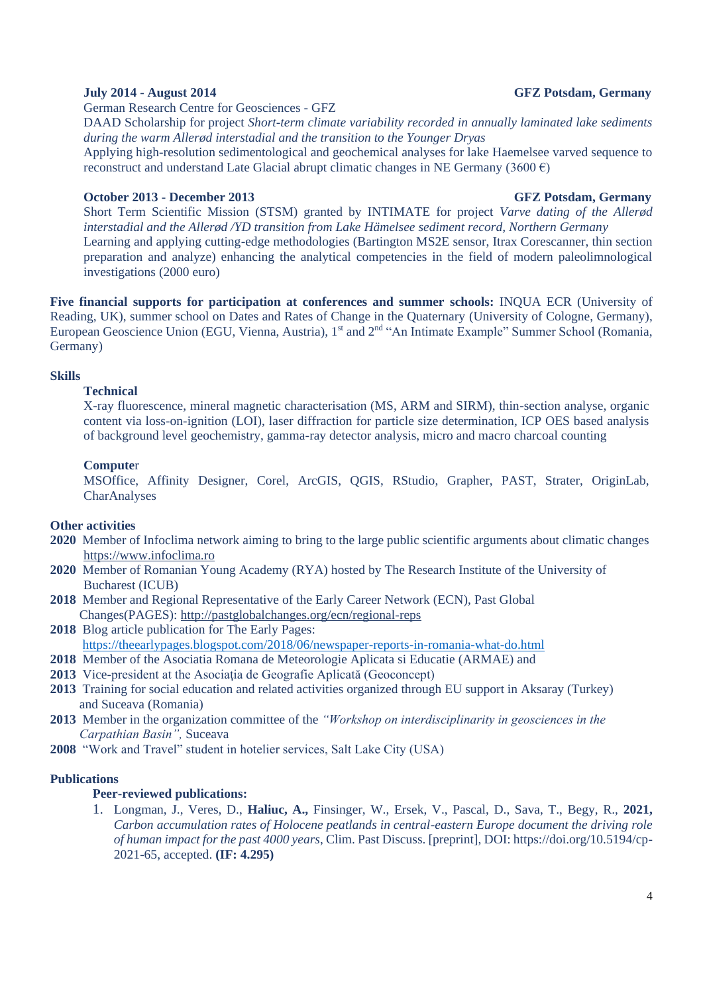## **July 2014 - August 2014 GFZ Potsdam, Germany**

German Research Centre for Geosciences - GFZ

DAAD Scholarship for project *Short-term climate variability recorded in annually laminated lake sediments during the warm Allerød interstadial and the transition to the Younger Dryas*

Applying high-resolution sedimentological and geochemical analyses for lake Haemelsee varved sequence to reconstruct and understand Late Glacial abrupt climatic changes in NE Germany (3600  $\epsilon$ )

## **October 2013 - December 2013** GFZ Potsdam, Germany

Short Term Scientific Mission (STSM) granted by INTIMATE for project *Varve dating of the Allerød interstadial and the Allerød /YD transition from Lake Hämelsee sediment record, Northern Germany* Learning and applying cutting-edge methodologies (Bartington MS2E sensor, Itrax Corescanner, thin section preparation and analyze) enhancing the analytical competencies in the field of modern paleolimnological investigations (2000 euro)

**Five financial supports for participation at conferences and summer schools:** INQUA ECR (University of Reading, UK), summer school on Dates and Rates of Change in the Quaternary (University of Cologne, Germany), European Geoscience Union (EGU, Vienna, Austria), 1<sup>st</sup> and 2<sup>nd</sup> "An Intimate Example" Summer School (Romania, Germany)

## **Skills**

### **Technical**

X-ray fluorescence, mineral magnetic characterisation (MS, ARM and SIRM), thin-section analyse, organic content via loss-on-ignition (LOI), laser diffraction for particle size determination, ICP OES based analysis of background level geochemistry, gamma-ray detector analysis, micro and macro charcoal counting

### **Compute**r

MSOffice, Affinity Designer, Corel, ArcGIS, QGIS, RStudio, Grapher, PAST, Strater, OriginLab, CharAnalyses

### **Other activities**

- **2020** Member of Infoclima network aiming to bring to the large public scientific arguments about climatic changes https://www.infoclima.ro
- **2020** Member of Romanian Young Academy (RYA) hosted by The Research Institute of the University of Bucharest (ICUB)
- **2018** Member and Regional Representative of the Early Career Network (ECN), Past Global Changes(PAGES):<http://pastglobalchanges.org/ecn/regional-reps>
- **2018** Blog article publication for The Early Pages: <https://theearlypages.blogspot.com/2018/06/newspaper-reports-in-romania-what-do.html>
- **2018** Member of the Asociatia Romana de Meteorologie Aplicata si Educatie (ARMAE) and
- **2013** Vice-president at the Asociaţia de Geografie Aplicată (Geoconcept)
- **2013** Training for social education and related activities organized through EU support in Aksaray (Turkey) and Suceava (Romania)
- **2013** Member in the organization committee of the *"Workshop on interdisciplinarity in geosciences in the Carpathian Basin",* Suceava
- **2008** "Work and Travel" student in hotelier services, Salt Lake City (USA)

## **Publications**

## **Peer-reviewed publications:**

1. Longman, J., Veres, D., **Haliuc, A.,** Finsinger, W., Ersek, V., Pascal, D., Sava, T., Begy, R., **2021,** *Carbon accumulation rates of Holocene peatlands in central-eastern Europe document the driving role of human impact for the past 4000 years*, Clim. Past Discuss. [preprint], DOI: https://doi.org/10.5194/cp-2021-65, accepted. **(IF: 4.295)**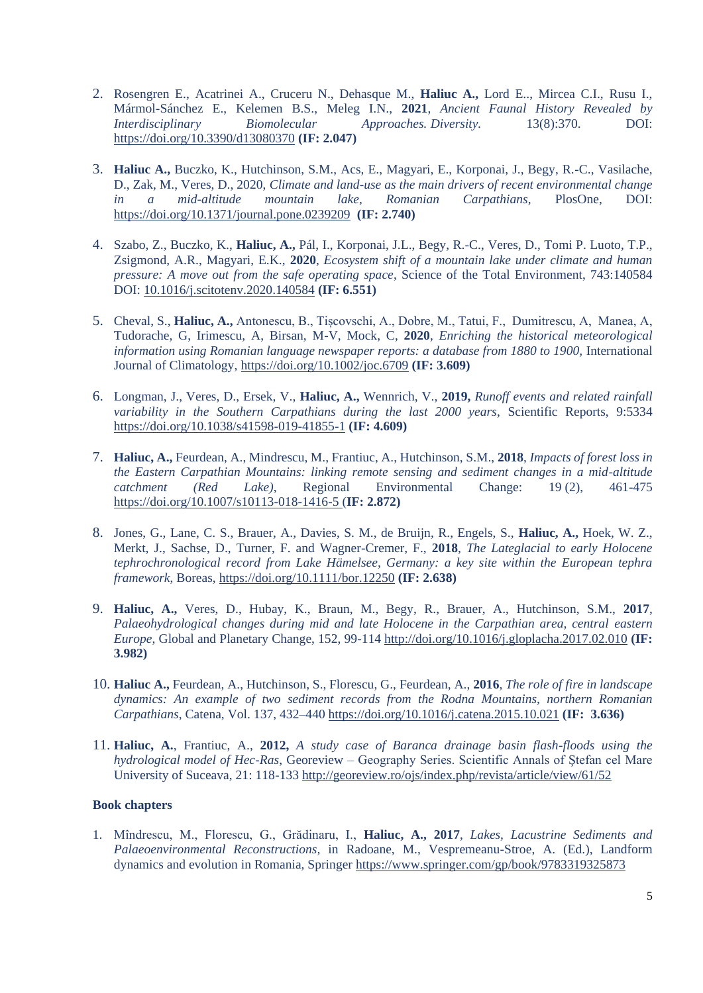- 2. Rosengren E., Acatrinei A., Cruceru N., Dehasque M., **Haliuc A.,** Lord E.., Mircea C.I., Rusu I., Mármol-Sánchez E., Kelemen B.S., Meleg I.N., **2021**, *Ancient Faunal History Revealed by Interdisciplinary Biomolecular Approaches. Diversity.* 13(8):370. DOI: <https://doi.org/10.3390/d13080370> **(IF: 2.047)**
- 3. **Haliuc A.,** Buczko, K., Hutchinson, S.M., Acs, E., Magyari, E., Korponai, J., Begy, R.-C., Vasilache, D., Zak, M., Veres, D., 2020, *Climate and land-use as the main drivers of recent environmental change in a mid-altitude mountain lake, Romanian Carpathians,* PlosOne*,* DOI: <https://doi.org/10.1371/journal.pone.0239209> **(IF: 2.740)**
- 4. Szabo, Z., Buczko, K., **Haliuc, A.,** Pál, I., Korponai, J.L., Begy, R.-C., Veres, D., Tomi P. Luoto, T.P., Zsigmond, A.R., Magyari, E.K., **2020**, *Ecosystem shift of a mountain lake under climate and human pressure: A move out from the safe operating space*, Science of the Total Environment, 743:140584 DOI: [10.1016/j.scitotenv.2020.140584](https://doi.org/10.1016/j.scitotenv.2020.140584) **(IF: 6.551)**
- 5. Cheval, S., **Haliuc, A.,** Antonescu, B., Tișcovschi, A., Dobre, M., Tatui, F., Dumitrescu, A, Manea, A, Tudorache, G, Irimescu, A, Birsan, M-V, Mock, C, **2020**, *Enriching the historical meteorological information using Romanian language newspaper reports: a database from 1880 to 1900, International* Journal of Climatology,<https://doi.org/10.1002/joc.6709> **(IF: 3.609)**
- 6. Longman, J., Veres, D., Ersek, V., **Haliuc, A.,** Wennrich, V., **2019,** *Runoff events and related rainfall variability in the Southern Carpathians during the last 2000 years*, Scientific Reports, 9:5334 <https://doi.org/10.1038/s41598-019-41855-1> **(IF: 4.609)**
- 7. **Haliuc, A.,** Feurdean, A., Mindrescu, M., Frantiuc, A., Hutchinson, S.M., **2018**, *Impacts of forest loss in the Eastern Carpathian Mountains: linking remote sensing and sediment changes in a mid-altitude catchment (Red Lake)*, Regional Environmental Change: 19 (2), 461-475 <https://doi.org/10.1007/s10113-018-1416-5> (**IF: 2.872)**
- 8. Jones, G., Lane, C. S., Brauer, A., Davies, S. M., de Bruijn, R., Engels, S., **Haliuc, A.,** Hoek, W. Z., Merkt, J., Sachse, D., Turner, F. and Wagner-Cremer, F., **2018**, *The Lateglacial to early Holocene tephrochronological record from Lake Hämelsee, Germany: a key site within the European tephra framework*, Boreas,<https://doi.org/10.1111/bor.12250> **(IF: 2.638)**
- 9. **Haliuc, A.,** Veres, D., Hubay, K., Braun, M., Begy, R., Brauer, A., Hutchinson, S.M., **2017**, *Palaeohydrological changes during mid and late Holocene in the Carpathian area, central eastern Europe*, Global and Planetary Change, 152, 99-114<http://doi.org/10.1016/j.gloplacha.2017.02.010> **(IF: 3.982)**
- 10. **Haliuc A.,** Feurdean, A., Hutchinson, S., Florescu, G., Feurdean, A., **2016**, *The role of fire in landscape dynamics: An example of two sediment records from the Rodna Mountains, northern Romanian Carpathians*, Catena, Vol. 137, 432–440<https://doi.org/10.1016/j.catena.2015.10.021> **(IF: 3.636)**
- 11. **Haliuc, A.**, Frantiuc, A., **2012,** *A study case of Baranca drainage basin flash-floods using the hydrological model of Hec-Ras*, Georeview – Geography Series. Scientific Annals of Ştefan cel Mare University of Suceava, 21: 118-133<http://georeview.ro/ojs/index.php/revista/article/view/61/52>

## **Book chapters**

1. Mîndrescu, M., Florescu, G., Grădinaru, I., **Haliuc, A., 2017**, *Lakes, Lacustrine Sediments and Palaeoenvironmental Reconstructions,* in Radoane, M., Vespremeanu-Stroe, A. (Ed.), Landform dynamics and evolution in Romania, Springer<https://www.springer.com/gp/book/9783319325873>